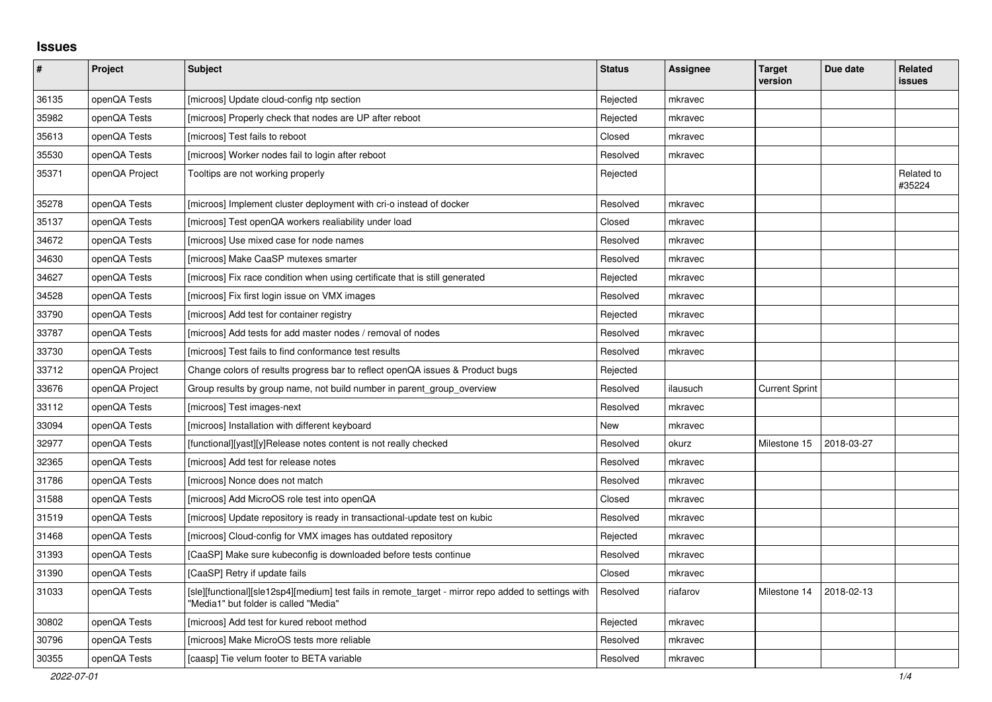## **Issues**

| $\pmb{\#}$ | Project        | <b>Subject</b>                                                                                                                                | <b>Status</b> | <b>Assignee</b> | <b>Target</b><br>version | Due date   | Related<br>issues    |
|------------|----------------|-----------------------------------------------------------------------------------------------------------------------------------------------|---------------|-----------------|--------------------------|------------|----------------------|
| 36135      | openQA Tests   | [microos] Update cloud-config ntp section                                                                                                     | Rejected      | mkravec         |                          |            |                      |
| 35982      | openQA Tests   | [microos] Properly check that nodes are UP after reboot                                                                                       | Rejected      | mkravec         |                          |            |                      |
| 35613      | openQA Tests   | [microos] Test fails to reboot                                                                                                                | Closed        | mkravec         |                          |            |                      |
| 35530      | openQA Tests   | [microos] Worker nodes fail to login after reboot                                                                                             | Resolved      | mkravec         |                          |            |                      |
| 35371      | openQA Project | Tooltips are not working properly                                                                                                             | Rejected      |                 |                          |            | Related to<br>#35224 |
| 35278      | openQA Tests   | [microos] Implement cluster deployment with cri-o instead of docker                                                                           | Resolved      | mkravec         |                          |            |                      |
| 35137      | openQA Tests   | [microos] Test openQA workers realiability under load                                                                                         | Closed        | mkravec         |                          |            |                      |
| 34672      | openQA Tests   | [microos] Use mixed case for node names                                                                                                       | Resolved      | mkravec         |                          |            |                      |
| 34630      | openQA Tests   | [microos] Make CaaSP mutexes smarter                                                                                                          | Resolved      | mkravec         |                          |            |                      |
| 34627      | openQA Tests   | [microos] Fix race condition when using certificate that is still generated                                                                   | Rejected      | mkravec         |                          |            |                      |
| 34528      | openQA Tests   | [microos] Fix first login issue on VMX images                                                                                                 | Resolved      | mkravec         |                          |            |                      |
| 33790      | openQA Tests   | [microos] Add test for container registry                                                                                                     | Rejected      | mkravec         |                          |            |                      |
| 33787      | openQA Tests   | [microos] Add tests for add master nodes / removal of nodes                                                                                   | Resolved      | mkravec         |                          |            |                      |
| 33730      | openQA Tests   | [microos] Test fails to find conformance test results                                                                                         | Resolved      | mkravec         |                          |            |                      |
| 33712      | openQA Project | Change colors of results progress bar to reflect openQA issues & Product bugs                                                                 | Rejected      |                 |                          |            |                      |
| 33676      | openQA Project | Group results by group name, not build number in parent group overview                                                                        | Resolved      | ilausuch        | <b>Current Sprint</b>    |            |                      |
| 33112      | openQA Tests   | [microos] Test images-next                                                                                                                    | Resolved      | mkravec         |                          |            |                      |
| 33094      | openQA Tests   | [microos] Installation with different keyboard                                                                                                | New           | mkravec         |                          |            |                      |
| 32977      | openQA Tests   | [functional][yast][y]Release notes content is not really checked                                                                              | Resolved      | okurz           | Milestone 15             | 2018-03-27 |                      |
| 32365      | openQA Tests   | [microos] Add test for release notes                                                                                                          | Resolved      | mkravec         |                          |            |                      |
| 31786      | openQA Tests   | [microos] Nonce does not match                                                                                                                | Resolved      | mkravec         |                          |            |                      |
| 31588      | openQA Tests   | [microos] Add MicroOS role test into openQA                                                                                                   | Closed        | mkravec         |                          |            |                      |
| 31519      | openQA Tests   | [microos] Update repository is ready in transactional-update test on kubic                                                                    | Resolved      | mkravec         |                          |            |                      |
| 31468      | openQA Tests   | [microos] Cloud-config for VMX images has outdated repository                                                                                 | Rejected      | mkravec         |                          |            |                      |
| 31393      | openQA Tests   | [CaaSP] Make sure kubeconfig is downloaded before tests continue                                                                              | Resolved      | mkravec         |                          |            |                      |
| 31390      | openQA Tests   | [CaaSP] Retry if update fails                                                                                                                 | Closed        | mkravec         |                          |            |                      |
| 31033      | openQA Tests   | [sle][functional][sle12sp4][medium] test fails in remote_target - mirror repo added to settings with<br>"Media1" but folder is called "Media" | Resolved      | riafarov        | Milestone 14             | 2018-02-13 |                      |
| 30802      | openQA Tests   | [microos] Add test for kured reboot method                                                                                                    | Rejected      | mkravec         |                          |            |                      |
| 30796      | openQA Tests   | [microos] Make MicroOS tests more reliable                                                                                                    | Resolved      | mkravec         |                          |            |                      |
| 30355      | openQA Tests   | [caasp] Tie velum footer to BETA variable                                                                                                     | Resolved      | mkravec         |                          |            |                      |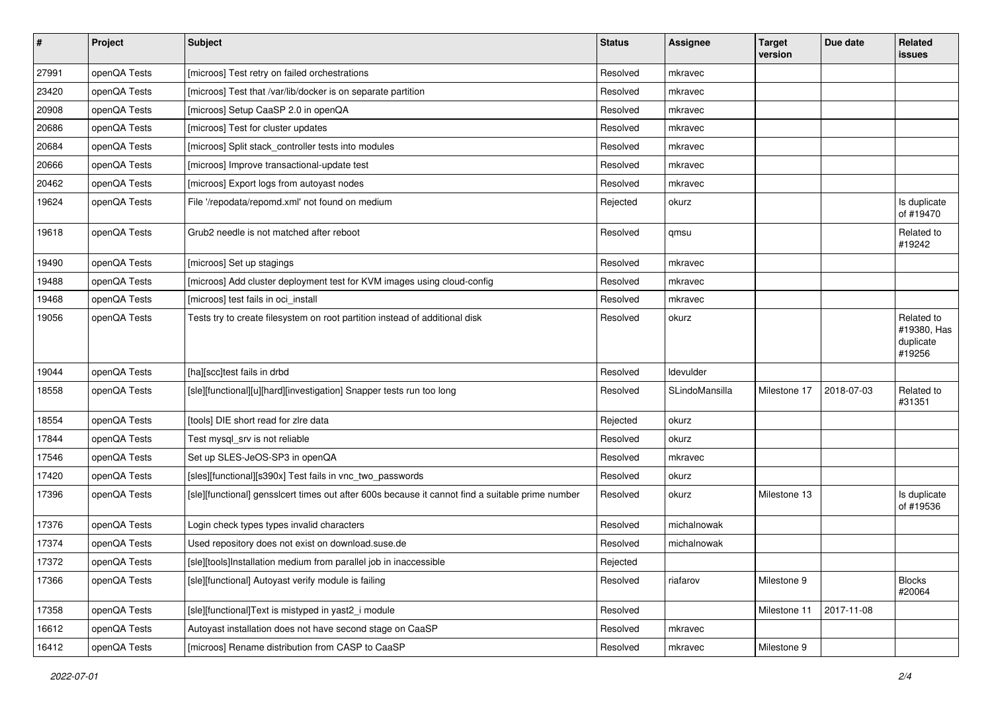| $\pmb{\#}$ | Project      | <b>Subject</b>                                                                                   | <b>Status</b> | <b>Assignee</b> | <b>Target</b><br>version | Due date   | Related<br>issues                                |
|------------|--------------|--------------------------------------------------------------------------------------------------|---------------|-----------------|--------------------------|------------|--------------------------------------------------|
| 27991      | openQA Tests | [microos] Test retry on failed orchestrations                                                    | Resolved      | mkravec         |                          |            |                                                  |
| 23420      | openQA Tests | [microos] Test that /var/lib/docker is on separate partition                                     | Resolved      | mkravec         |                          |            |                                                  |
| 20908      | openQA Tests | [microos] Setup CaaSP 2.0 in openQA                                                              | Resolved      | mkravec         |                          |            |                                                  |
| 20686      | openQA Tests | [microos] Test for cluster updates                                                               | Resolved      | mkravec         |                          |            |                                                  |
| 20684      | openQA Tests | [microos] Split stack_controller tests into modules                                              | Resolved      | mkravec         |                          |            |                                                  |
| 20666      | openQA Tests | [microos] Improve transactional-update test                                                      | Resolved      | mkravec         |                          |            |                                                  |
| 20462      | openQA Tests | [microos] Export logs from autoyast nodes                                                        | Resolved      | mkravec         |                          |            |                                                  |
| 19624      | openQA Tests | File '/repodata/repomd.xml' not found on medium                                                  | Rejected      | okurz           |                          |            | Is duplicate<br>of #19470                        |
| 19618      | openQA Tests | Grub2 needle is not matched after reboot                                                         | Resolved      | qmsu            |                          |            | Related to<br>#19242                             |
| 19490      | openQA Tests | [microos] Set up stagings                                                                        | Resolved      | mkravec         |                          |            |                                                  |
| 19488      | openQA Tests | [microos] Add cluster deployment test for KVM images using cloud-config                          | Resolved      | mkravec         |                          |            |                                                  |
| 19468      | openQA Tests | [microos] test fails in oci_install                                                              | Resolved      | mkravec         |                          |            |                                                  |
| 19056      | openQA Tests | Tests try to create filesystem on root partition instead of additional disk                      | Resolved      | okurz           |                          |            | Related to<br>#19380, Has<br>duplicate<br>#19256 |
| 19044      | openQA Tests | [ha][scc]test fails in drbd                                                                      | Resolved      | Idevulder       |                          |            |                                                  |
| 18558      | openQA Tests | [sle][functional][u][hard][investigation] Snapper tests run too long                             | Resolved      | SLindoMansilla  | Milestone 17             | 2018-07-03 | Related to<br>#31351                             |
| 18554      | openQA Tests | [tools] DIE short read for zire data                                                             | Rejected      | okurz           |                          |            |                                                  |
| 17844      | openQA Tests | Test mysql_srv is not reliable                                                                   | Resolved      | okurz           |                          |            |                                                  |
| 17546      | openQA Tests | Set up SLES-JeOS-SP3 in openQA                                                                   | Resolved      | mkravec         |                          |            |                                                  |
| 17420      | openQA Tests | [sles][functional][s390x] Test fails in vnc_two_passwords                                        | Resolved      | okurz           |                          |            |                                                  |
| 17396      | openQA Tests | [sle][functional] gensslcert times out after 600s because it cannot find a suitable prime number | Resolved      | okurz           | Milestone 13             |            | Is duplicate<br>of #19536                        |
| 17376      | openQA Tests | Login check types types invalid characters                                                       | Resolved      | michalnowak     |                          |            |                                                  |
| 17374      | openQA Tests | Used repository does not exist on download.suse.de                                               | Resolved      | michalnowak     |                          |            |                                                  |
| 17372      | openQA Tests | [sle][tools]Installation medium from parallel job in inaccessible                                | Rejected      |                 |                          |            |                                                  |
| 17366      | openQA Tests | [sle][functional] Autovast verify module is failing                                              | Resolved      | riafarov        | Milestone 9              |            | <b>Blocks</b><br>#20064                          |
| 17358      | openQA Tests | [sle][functional]Text is mistyped in yast2_i module                                              | Resolved      |                 | Milestone 11             | 2017-11-08 |                                                  |
| 16612      | openQA Tests | Autoyast installation does not have second stage on CaaSP                                        | Resolved      | mkravec         |                          |            |                                                  |
| 16412      | openQA Tests | [microos] Rename distribution from CASP to CaaSP                                                 | Resolved      | mkravec         | Milestone 9              |            |                                                  |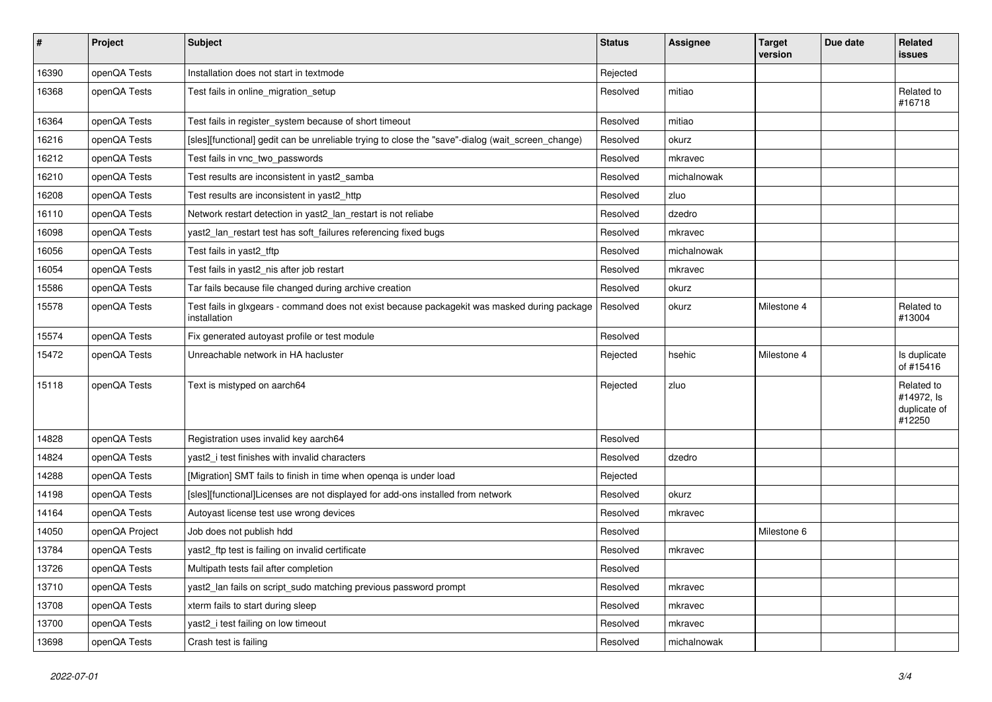| $\pmb{\#}$ | Project        | <b>Subject</b>                                                                                               | <b>Status</b> | <b>Assignee</b> | Target<br>version | Due date | Related<br>issues                                  |
|------------|----------------|--------------------------------------------------------------------------------------------------------------|---------------|-----------------|-------------------|----------|----------------------------------------------------|
| 16390      | openQA Tests   | Installation does not start in textmode                                                                      | Rejected      |                 |                   |          |                                                    |
| 16368      | openQA Tests   | Test fails in online migration setup                                                                         | Resolved      | mitiao          |                   |          | Related to<br>#16718                               |
| 16364      | openQA Tests   | Test fails in register_system because of short timeout                                                       | Resolved      | mitiao          |                   |          |                                                    |
| 16216      | openQA Tests   | [sles][functional] gedit can be unreliable trying to close the "save"-dialog (wait_screen_change)            | Resolved      | okurz           |                   |          |                                                    |
| 16212      | openQA Tests   | Test fails in vnc two passwords                                                                              | Resolved      | mkravec         |                   |          |                                                    |
| 16210      | openQA Tests   | Test results are inconsistent in yast2 samba                                                                 | Resolved      | michalnowak     |                   |          |                                                    |
| 16208      | openQA Tests   | Test results are inconsistent in yast2 http                                                                  | Resolved      | zluo            |                   |          |                                                    |
| 16110      | openQA Tests   | Network restart detection in yast2_lan_restart is not reliabe                                                | Resolved      | dzedro          |                   |          |                                                    |
| 16098      | openQA Tests   | yast2_lan_restart test has soft_failures referencing fixed bugs                                              | Resolved      | mkravec         |                   |          |                                                    |
| 16056      | openQA Tests   | Test fails in yast2_tftp                                                                                     | Resolved      | michalnowak     |                   |          |                                                    |
| 16054      | openQA Tests   | Test fails in yast2_nis after job restart                                                                    | Resolved      | mkravec         |                   |          |                                                    |
| 15586      | openQA Tests   | Tar fails because file changed during archive creation                                                       | Resolved      | okurz           |                   |          |                                                    |
| 15578      | openQA Tests   | Test fails in glxgears - command does not exist because packagekit was masked during package<br>installation | Resolved      | okurz           | Milestone 4       |          | Related to<br>#13004                               |
| 15574      | openQA Tests   | Fix generated autoyast profile or test module                                                                | Resolved      |                 |                   |          |                                                    |
| 15472      | openQA Tests   | Unreachable network in HA hacluster                                                                          | Rejected      | hsehic          | Milestone 4       |          | Is duplicate<br>of #15416                          |
| 15118      | openQA Tests   | Text is mistyped on aarch64                                                                                  | Rejected      | zluo            |                   |          | Related to<br>#14972, Is<br>duplicate of<br>#12250 |
| 14828      | openQA Tests   | Registration uses invalid key aarch64                                                                        | Resolved      |                 |                   |          |                                                    |
| 14824      | openQA Tests   | yast2 i test finishes with invalid characters                                                                | Resolved      | dzedro          |                   |          |                                                    |
| 14288      | openQA Tests   | [Migration] SMT fails to finish in time when openqa is under load                                            | Rejected      |                 |                   |          |                                                    |
| 14198      | openQA Tests   | [sles][functional]Licenses are not displayed for add-ons installed from network                              | Resolved      | okurz           |                   |          |                                                    |
| 14164      | openQA Tests   | Autoyast license test use wrong devices                                                                      | Resolved      | mkravec         |                   |          |                                                    |
| 14050      | openQA Project | Job does not publish hdd                                                                                     | Resolved      |                 | Milestone 6       |          |                                                    |
| 13784      | openQA Tests   | yast2_ftp test is failing on invalid certificate                                                             | Resolved      | mkravec         |                   |          |                                                    |
| 13726      | openQA Tests   | Multipath tests fail after completion                                                                        | Resolved      |                 |                   |          |                                                    |
| 13710      | openQA Tests   | yast2_lan fails on script_sudo matching previous password prompt                                             | Resolved      | mkravec         |                   |          |                                                    |
| 13708      | openQA Tests   | xterm fails to start during sleep                                                                            | Resolved      | mkravec         |                   |          |                                                    |
| 13700      | openQA Tests   | yast2_i test failing on low timeout                                                                          | Resolved      | mkravec         |                   |          |                                                    |
| 13698      | openQA Tests   | Crash test is failing                                                                                        | Resolved      | michalnowak     |                   |          |                                                    |